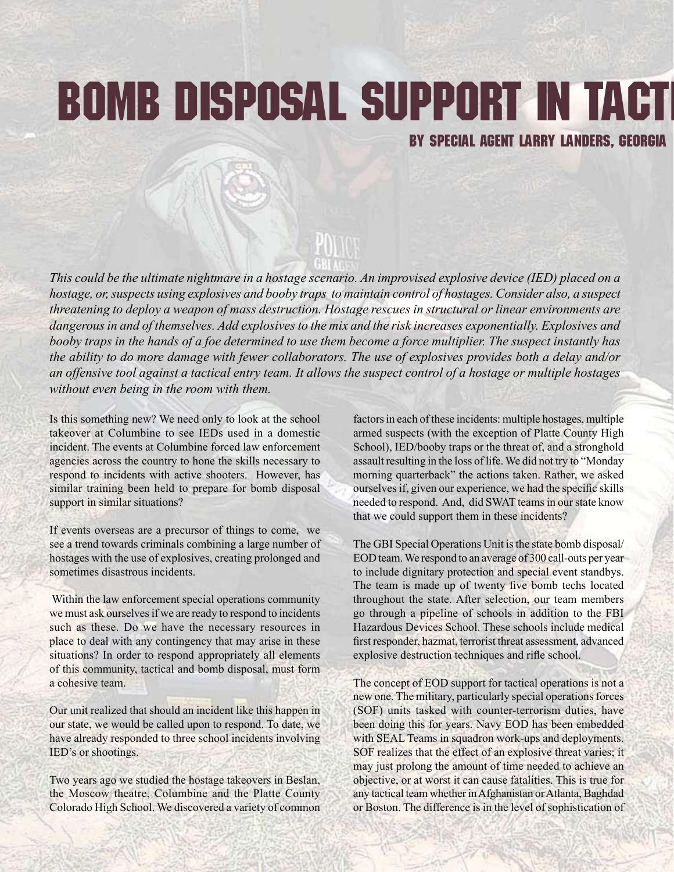## **BOMB DISPOSAL SUPPORT IN TACT**

## BY SPECIAL AGENT LARRY LANDERS, GEORGIA

*This could be the ultimate nightmare in a hostage scenario. An improvised explosive device (IED) placed on a hostage, or, suspects using explosives and booby traps to maintain control of hostages. Consider also, a suspect threatening to deploy a weapon of mass destruction. Hostage rescues in structural or linear environments are dangerous in and of themselves. Add explosives to the mix and the risk increases exponentially. Explosives and booby traps in the hands of a foe determined to use them become a force multiplier. The suspect instantly has the ability to do more damage with fewer collaborators. The use of explosives provides both a delay and/or an offensive tool against a tactical entry team. It allows the suspect control of a hostage or multiple hostages without even being in the room with them.*

Is this something new? We need only to look at the school takeover at Columbine to see IEDs used in a domestic incident. The events at Columbine forced law enforcement agencies across the country to hone the skills necessary to respond to incidents with active shooters. However, has similar training been held to prepare for bomb disposal support in similar situations?

If events overseas are a precursor of things to come, we see a trend towards criminals combining a large number of hostages with the use of explosives, creating prolonged and sometimes disastrous incidents.

Within the law enforcement special operations community we must ask ourselves if we are ready to respond to incidents such as these. Do we have the necessary resources in place to deal with any contingency that may arise in these situations? In order to respond appropriately all elements of this community, tactical and bomb disposal, must form a cohesive team.

Our unit realized that should an incident like this happen in our state, we would be called upon to respond. To date, we have already responded to three school incidents involving IED's or shootings.

Two years ago we studied the hostage takeovers in Beslan, the Moscow theatre, Columbine and the Platte County Colorado High School. We discovered a variety of common

factors in each of these incidents: multiple hostages, multiple armed suspects (with the exception of Platte County High School), IED/booby traps or the threat of, and a stronghold assault resulting in the loss of life.We did not try to "Monday morning quarterback" the actions taken. Rather, we asked ourselves if, given our experience, we had the specific skills needed to respond. And, did SWAT teams in our state know that we could support them in these incidents?

The GBI Special Operations Unit is the state bomb disposal/ EOD team.We respond to an average of 300 call-outs per year to include dignitary protection and special event standbys. The team is made up of twenty five bomb techs located throughout the state. After selection, our team members go through a pipeline of schools in addition to the FBI Hazardous Devices School. These schools include medical first responder, hazmat, terrorist threat assessment, advanced explosive destruction techniques and rifle school.

The concept of EOD support for tactical operations is not a new one. The military, particularly special operations forces (SOF) units tasked with counter-terrorism duties, have been doing this for years. Navy EOD has been embedded with SEAL Teams in squadron work-ups and deployments. SOF realizes that the effect of an explosive threat varies; it may just prolong the amount of time needed to achieve an objective, or at worst it can cause fatalities. This is true for any tactical team whether in Afghanistan or Atlanta, Baghdad or Boston. The difference is in the level of sophistication of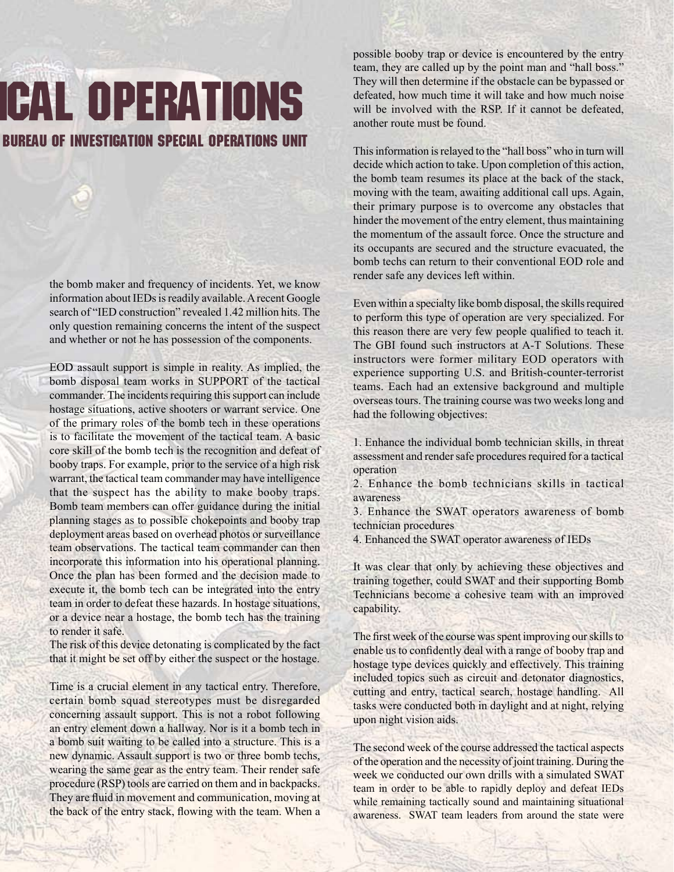## **GAL OPERATIONS** BUREAU OF INVESTIGATION SPECIAL OPERATIONS UNIT

the bomb maker and frequency of incidents. Yet, we know information about IEDs is readily available. A recent Google search of "IED construction" revealed 1.42 million hits. The only question remaining concerns the intent of the suspect and whether or not he has possession of the components.

EOD assault support is simple in reality. As implied, the bomb disposal team works in SUPPORT of the tactical commander. The incidents requiring this support can include hostage situations, active shooters or warrant service. One of the primary roles of the bomb tech in these operations is to facilitate the movement of the tactical team. A basic core skill of the bomb tech is the recognition and defeat of booby traps. For example, prior to the service of a high risk warrant, the tactical team commander may have intelligence that the suspect has the ability to make booby traps. Bomb team members can offer guidance during the initial planning stages as to possible chokepoints and booby trap deployment areas based on overhead photos or surveillance team observations. The tactical team commander can then incorporate this information into his operational planning. Once the plan has been formed and the decision made to execute it, the bomb tech can be integrated into the entry team in order to defeat these hazards. In hostage situations, or a device near a hostage, the bomb tech has the training to render it safe.

The risk of this device detonating is complicated by the fact that it might be set off by either the suspect or the hostage.

Time is a crucial element in any tactical entry. Therefore, certain bomb squad stereotypes must be disregarded concerning assault support. This is not a robot following an entry element down a hallway. Nor is it a bomb tech in a bomb suit waiting to be called into a structure. This is a new dynamic. Assault support is two or three bomb techs, wearing the same gear as the entry team. Their render safe procedure (RSP) tools are carried on them and in backpacks. They are fluid in movement and communication, moving at the back of the entry stack, flowing with the team. When a

possible booby trap or device is encountered by the entry team, they are called up by the point man and "hall boss." They will then determine if the obstacle can be bypassed or defeated, how much time it will take and how much noise will be involved with the RSP. If it cannot be defeated, another route must be found.

This information is relayed to the "hall boss" who in turn will decide which action to take. Upon completion of this action, the bomb team resumes its place at the back of the stack, moving with the team, awaiting additional call ups. Again, their primary purpose is to overcome any obstacles that hinder the movement of the entry element, thus maintaining the momentum of the assault force. Once the structure and its occupants are secured and the structure evacuated, the bomb techs can return to their conventional EOD role and render safe any devices left within.

Even within a specialty like bomb disposal, the skills required to perform this type of operation are very specialized. For this reason there are very few people qualified to teach it. The GBI found such instructors at A-T Solutions. These instructors were former military EOD operators with experience supporting U.S. and British-counter-terrorist teams. Each had an extensive background and multiple overseastours. The training course wastwo weekslong and had the following objectives:

1. Enhance the individual bomb technician skills, in threat assessment and render safe procedures required for a tactical operation

2. Enhance the bomb technicians skills in tactical awareness

3. Enhance the SWAT operators awareness of bomb technician procedures

4. Enhanced the SWAT operator awareness of IEDs

It was clear that only by achieving these objectives and training together, could SWAT and their supporting Bomb Technicians become a cohesive team with an improved capability.

The first week of the course was spent improving our skills to enable us to confidently deal with a range of booby trap and hostage type devices quickly and effectively. This training included topics such as circuit and detonator diagnostics, cutting and entry, tactical search, hostage handling. All tasks were conducted both in daylight and at night, relying upon night vision aids.

The second week of the course addressed the tactical aspects of the operation and the necessity of joint training. During the week we conducted our own drills with a simulated SWAT team in order to be able to rapidly deploy and defeat IEDs while remaining tactically sound and maintaining situational awareness. SWAT team leaders from around the state were